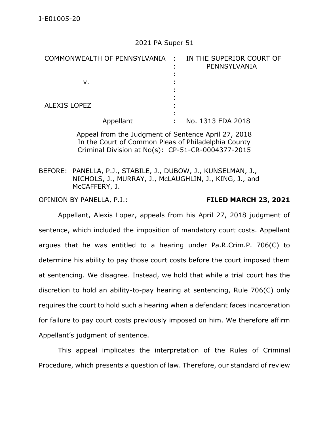## 2021 PA Super 51

| COMMONWEALTH OF PENNSYLVANIA : |           | IN THE SUPERIOR COURT OF<br>PENNSYLVANIA |
|--------------------------------|-----------|------------------------------------------|
| v.                             |           |                                          |
| <b>ALEXIS LOPEZ</b>            |           |                                          |
|                                | Appellant | No. 1313 EDA 2018                        |

Appeal from the Judgment of Sentence April 27, 2018 In the Court of Common Pleas of Philadelphia County Criminal Division at No(s): CP-51-CR-0004377-2015

BEFORE: PANELLA, P.J., STABILE, J., DUBOW, J., KUNSELMAN, J., NICHOLS, J., MURRAY, J., McLAUGHLIN, J., KING, J., and McCAFFERY, J.

OPINION BY PANELLA, P.J.: **FILED MARCH 23, 2021**

Appellant, Alexis Lopez, appeals from his April 27, 2018 judgment of sentence, which included the imposition of mandatory court costs. Appellant argues that he was entitled to a hearing under Pa.R.Crim.P. 706(C) to determine his ability to pay those court costs before the court imposed them at sentencing. We disagree. Instead, we hold that while a trial court has the discretion to hold an ability-to-pay hearing at sentencing, Rule 706(C) only requires the court to hold such a hearing when a defendant faces incarceration for failure to pay court costs previously imposed on him. We therefore affirm Appellant's judgment of sentence.

This appeal implicates the interpretation of the Rules of Criminal Procedure, which presents a question of law. Therefore, our standard of review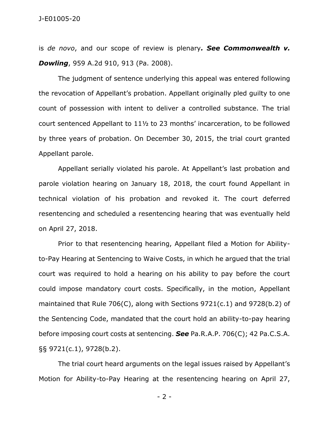is *de novo*, and our scope of review is plenary*. See Commonwealth v. Dowling*, 959 A.2d 910, 913 (Pa. 2008).

The judgment of sentence underlying this appeal was entered following the revocation of Appellant's probation. Appellant originally pled guilty to one count of possession with intent to deliver a controlled substance. The trial court sentenced Appellant to 11½ to 23 months' incarceration, to be followed by three years of probation. On December 30, 2015, the trial court granted Appellant parole.

Appellant serially violated his parole. At Appellant's last probation and parole violation hearing on January 18, 2018, the court found Appellant in technical violation of his probation and revoked it. The court deferred resentencing and scheduled a resentencing hearing that was eventually held on April 27, 2018.

Prior to that resentencing hearing, Appellant filed a Motion for Abilityto-Pay Hearing at Sentencing to Waive Costs, in which he argued that the trial court was required to hold a hearing on his ability to pay before the court could impose mandatory court costs. Specifically, in the motion, Appellant maintained that Rule 706(C), along with Sections 9721(c.1) and 9728(b.2) of the Sentencing Code, mandated that the court hold an ability-to-pay hearing before imposing court costs at sentencing. *See* Pa.R.A.P. 706(C); 42 Pa.C.S.A. §§ 9721(c.1), 9728(b.2).

The trial court heard arguments on the legal issues raised by Appellant's Motion for Ability-to-Pay Hearing at the resentencing hearing on April 27,

- 2 -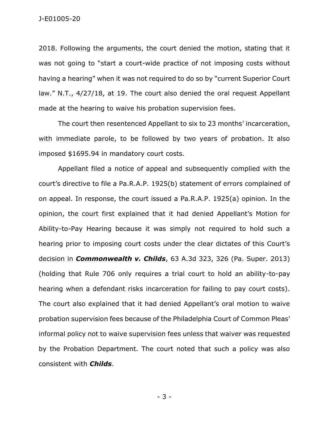## J-E01005-20

2018. Following the arguments, the court denied the motion, stating that it was not going to "start a court-wide practice of not imposing costs without having a hearing" when it was not required to do so by "current Superior Court law." N.T., 4/27/18, at 19. The court also denied the oral request Appellant made at the hearing to waive his probation supervision fees.

The court then resentenced Appellant to six to 23 months' incarceration, with immediate parole, to be followed by two years of probation. It also imposed \$1695.94 in mandatory court costs.

Appellant filed a notice of appeal and subsequently complied with the court's directive to file a Pa.R.A.P. 1925(b) statement of errors complained of on appeal. In response, the court issued a Pa.R.A.P. 1925(a) opinion. In the opinion, the court first explained that it had denied Appellant's Motion for Ability-to-Pay Hearing because it was simply not required to hold such a hearing prior to imposing court costs under the clear dictates of this Court's decision in *Commonwealth v. Childs*, 63 A.3d 323, 326 (Pa. Super. 2013) (holding that Rule 706 only requires a trial court to hold an ability-to-pay hearing when a defendant risks incarceration for failing to pay court costs). The court also explained that it had denied Appellant's oral motion to waive probation supervision fees because of the Philadelphia Court of Common Pleas' informal policy not to waive supervision fees unless that waiver was requested by the Probation Department. The court noted that such a policy was also consistent with *Childs*.

- 3 -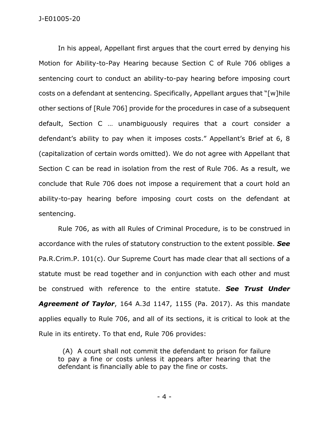In his appeal, Appellant first argues that the court erred by denying his Motion for Ability-to-Pay Hearing because Section C of Rule 706 obliges a sentencing court to conduct an ability-to-pay hearing before imposing court costs on a defendant at sentencing. Specifically, Appellant argues that "[w]hile other sections of [Rule 706] provide for the procedures in case of a subsequent default, Section C … unambiguously requires that a court consider a defendant's ability to pay when it imposes costs." Appellant's Brief at 6, 8 (capitalization of certain words omitted). We do not agree with Appellant that Section C can be read in isolation from the rest of Rule 706. As a result, we conclude that Rule 706 does not impose a requirement that a court hold an ability-to-pay hearing before imposing court costs on the defendant at sentencing.

Rule 706, as with all Rules of Criminal Procedure, is to be construed in accordance with the rules of statutory construction to the extent possible. *See* Pa.R.Crim.P. 101(c). Our Supreme Court has made clear that all sections of a statute must be read together and in conjunction with each other and must be construed with reference to the entire statute. *See Trust Under Agreement of Taylor*, 164 A.3d 1147, 1155 (Pa. 2017). As this mandate applies equally to Rule 706, and all of its sections, it is critical to look at the Rule in its entirety. To that end, Rule 706 provides:

 (A) A court shall not commit the defendant to prison for failure to pay a fine or costs unless it appears after hearing that the defendant is financially able to pay the fine or costs.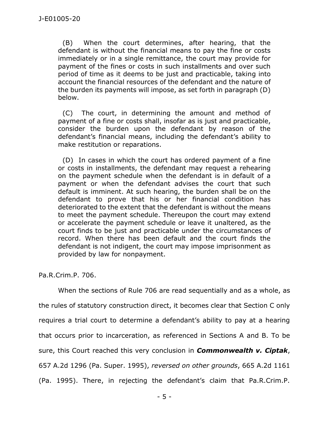(B) When the court determines, after hearing, that the defendant is without the financial means to pay the fine or costs immediately or in a single remittance, the court may provide for payment of the fines or costs in such installments and over such period of time as it deems to be just and practicable, taking into account the financial resources of the defendant and the nature of the burden its payments will impose, as set forth in paragraph (D) below.

 (C) The court, in determining the amount and method of payment of a fine or costs shall, insofar as is just and practicable, consider the burden upon the defendant by reason of the defendant's financial means, including the defendant's ability to make restitution or reparations.

 (D) In cases in which the court has ordered payment of a fine or costs in installments, the defendant may request a rehearing on the payment schedule when the defendant is in default of a payment or when the defendant advises the court that such default is imminent. At such hearing, the burden shall be on the defendant to prove that his or her financial condition has deteriorated to the extent that the defendant is without the means to meet the payment schedule. Thereupon the court may extend or accelerate the payment schedule or leave it unaltered, as the court finds to be just and practicable under the circumstances of record. When there has been default and the court finds the defendant is not indigent, the court may impose imprisonment as provided by law for nonpayment.

Pa.R.Crim.P. 706.

When the sections of Rule 706 are read sequentially and as a whole, as the rules of statutory construction direct, it becomes clear that Section C only requires a trial court to determine a defendant's ability to pay at a hearing that occurs prior to incarceration, as referenced in Sections A and B. To be sure, this Court reached this very conclusion in *Commonwealth v. Ciptak*, 657 A.2d 1296 (Pa. Super. 1995), *reversed on other grounds*, 665 A.2d 1161 (Pa. 1995). There, in rejecting the defendant's claim that Pa.R.Crim.P.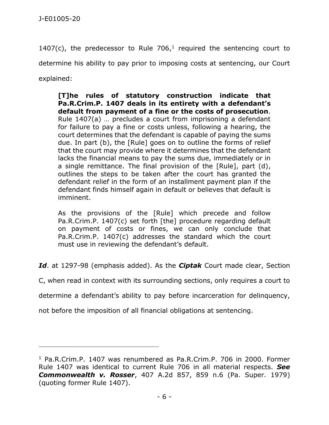1407(c), the predecessor to Rule  $706<sub>1</sub><sup>1</sup>$  required the sentencing court to determine his ability to pay prior to imposing costs at sentencing, our Court explained:

**[T]he rules of statutory construction indicate that Pa.R.Crim.P. 1407 deals in its entirety with a defendant's default from payment of a fine or the costs of prosecution**. Rule 1407(a) … precludes a court from imprisoning a defendant for failure to pay a fine or costs unless, following a hearing, the court determines that the defendant is capable of paying the sums due. In part (b), the [Rule] goes on to outline the forms of relief that the court may provide where it determines that the defendant lacks the financial means to pay the sums due, immediately or in a single remittance. The final provision of the [Rule], part (d), outlines the steps to be taken after the court has granted the defendant relief in the form of an installment payment plan if the defendant finds himself again in default or believes that default is imminent.

As the provisions of the [Rule] which precede and follow Pa.R.Crim.P. 1407(c) set forth [the] procedure regarding default on payment of costs or fines, we can only conclude that Pa.R.Crim.P. 1407(c) addresses the standard which the court must use in reviewing the defendant's default.

*Id*. at 1297-98 (emphasis added). As the *Ciptak* Court made clear, Section

C, when read in context with its surrounding sections, only requires a court to

determine a defendant's ability to pay before incarceration for delinquency,

not before the imposition of all financial obligations at sentencing.

\_\_\_\_\_\_\_\_\_\_\_\_\_\_\_\_\_\_\_\_\_\_\_\_\_\_\_\_\_\_\_\_\_\_\_\_\_\_\_\_\_\_\_\_

<sup>&</sup>lt;sup>1</sup> Pa.R.Crim.P. 1407 was renumbered as Pa.R.Crim.P. 706 in 2000. Former Rule 1407 was identical to current Rule 706 in all material respects. *See Commonwealth v. Rosser*, 407 A.2d 857, 859 n.6 (Pa. Super. 1979) (quoting former Rule 1407).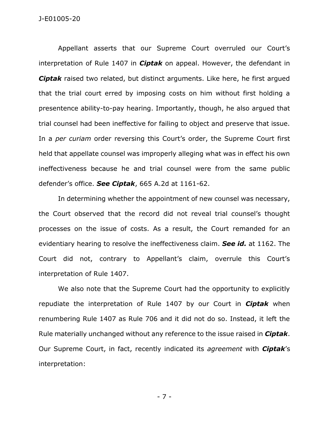Appellant asserts that our Supreme Court overruled our Court's interpretation of Rule 1407 in *Ciptak* on appeal. However, the defendant in *Ciptak* raised two related, but distinct arguments. Like here, he first argued that the trial court erred by imposing costs on him without first holding a presentence ability-to-pay hearing. Importantly, though, he also argued that trial counsel had been ineffective for failing to object and preserve that issue. In a *per curiam* order reversing this Court's order, the Supreme Court first held that appellate counsel was improperly alleging what was in effect his own ineffectiveness because he and trial counsel were from the same public defender's office. *See Ciptak*, 665 A.2d at 1161-62.

In determining whether the appointment of new counsel was necessary, the Court observed that the record did not reveal trial counsel's thought processes on the issue of costs. As a result, the Court remanded for an evidentiary hearing to resolve the ineffectiveness claim. *See id.* at 1162. The Court did not, contrary to Appellant's claim, overrule this Court's interpretation of Rule 1407.

We also note that the Supreme Court had the opportunity to explicitly repudiate the interpretation of Rule 1407 by our Court in *Ciptak* when renumbering Rule 1407 as Rule 706 and it did not do so. Instead, it left the Rule materially unchanged without any reference to the issue raised in *Ciptak*. Our Supreme Court, in fact, recently indicated its *agreement* with *Ciptak*'s interpretation:

- 7 -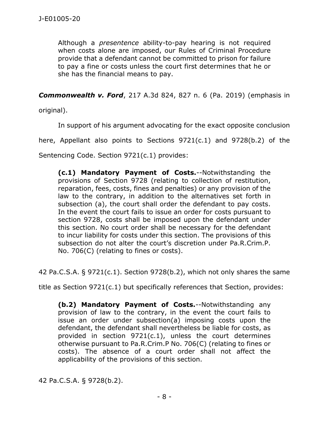Although a *presentence* ability-to-pay hearing is not required when costs alone are imposed, our Rules of Criminal Procedure provide that a defendant cannot be committed to prison for failure to pay a fine or costs unless the court first determines that he or she has the financial means to pay.

*Commonwealth v. Ford*, 217 A.3d 824, 827 n. 6 (Pa. 2019) (emphasis in

original).

In support of his argument advocating for the exact opposite conclusion

here, Appellant also points to Sections 9721(c.1) and 9728(b.2) of the

Sentencing Code. Section 9721(c.1) provides:

**(c.1) Mandatory Payment of Costs.**--Notwithstanding the provisions of Section 9728 (relating to collection of restitution, reparation, fees, costs, fines and penalties) or any provision of the law to the contrary, in addition to the alternatives set forth in subsection (a), the court shall order the defendant to pay costs. In the event the court fails to issue an order for costs pursuant to section 9728, costs shall be imposed upon the defendant under this section. No court order shall be necessary for the defendant to incur liability for costs under this section. The provisions of this subsection do not alter the court's discretion under Pa.R.Crim.P. No. 706(C) (relating to fines or costs).

42 Pa.C.S.A. § 9721(c.1). Section 9728(b.2), which not only shares the same

title as Section 9721(c.1) but specifically references that Section, provides:

**(b.2) Mandatory Payment of Costs.**--Notwithstanding any provision of law to the contrary, in the event the court fails to issue an order under subsection(a) imposing costs upon the defendant, the defendant shall nevertheless be liable for costs, as provided in section 9721(c.1), unless the court determines otherwise pursuant to Pa.R.Crim.P No. 706(C) (relating to fines or costs). The absence of a court order shall not affect the applicability of the provisions of this section.

42 Pa.C.S.A. § 9728(b.2).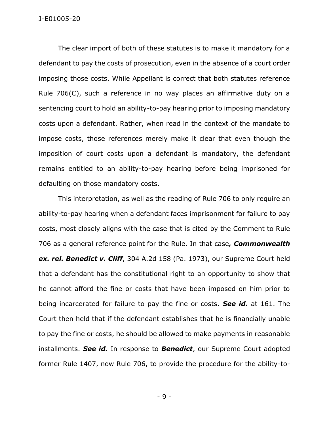The clear import of both of these statutes is to make it mandatory for a defendant to pay the costs of prosecution, even in the absence of a court order imposing those costs. While Appellant is correct that both statutes reference Rule 706(C), such a reference in no way places an affirmative duty on a sentencing court to hold an ability-to-pay hearing prior to imposing mandatory costs upon a defendant. Rather, when read in the context of the mandate to impose costs, those references merely make it clear that even though the imposition of court costs upon a defendant is mandatory, the defendant remains entitled to an ability-to-pay hearing before being imprisoned for defaulting on those mandatory costs.

This interpretation, as well as the reading of Rule 706 to only require an ability-to-pay hearing when a defendant faces imprisonment for failure to pay costs, most closely aligns with the case that is cited by the Comment to Rule 706 as a general reference point for the Rule. In that case*, Commonwealth ex. rel. Benedict v. Cliff*, 304 A.2d 158 (Pa. 1973), our Supreme Court held that a defendant has the constitutional right to an opportunity to show that he cannot afford the fine or costs that have been imposed on him prior to being incarcerated for failure to pay the fine or costs. *See id.* at 161. The Court then held that if the defendant establishes that he is financially unable to pay the fine or costs, he should be allowed to make payments in reasonable installments. *See id.* In response to *Benedict*, our Supreme Court adopted former Rule 1407, now Rule 706, to provide the procedure for the ability-to-

- 9 -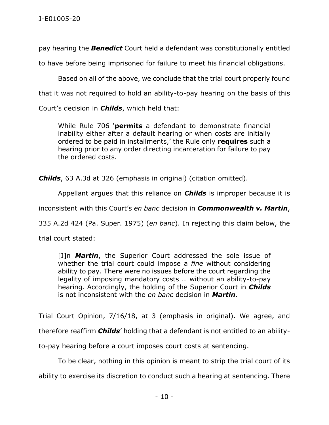pay hearing the *Benedict* Court held a defendant was constitutionally entitled

to have before being imprisoned for failure to meet his financial obligations.

Based on all of the above, we conclude that the trial court properly found

that it was not required to hold an ability-to-pay hearing on the basis of this

Court's decision in *Childs*, which held that:

While Rule 706 '**permits** a defendant to demonstrate financial inability either after a default hearing or when costs are initially ordered to be paid in installments,' the Rule only **requires** such a hearing prior to any order directing incarceration for failure to pay the ordered costs.

*Childs*, 63 A.3d at 326 (emphasis in original) (citation omitted).

Appellant argues that this reliance on *Childs* is improper because it is

inconsistent with this Court's *en banc* decision in *Commonwealth v. Martin*,

335 A.2d 424 (Pa. Super. 1975) (*en banc*). In rejecting this claim below, the

trial court stated:

[I]n *Martin*, the Superior Court addressed the sole issue of whether the trial court could impose a *fine* without considering ability to pay. There were no issues before the court regarding the legality of imposing mandatory costs … without an ability-to-pay hearing. Accordingly, the holding of the Superior Court in *Childs* is not inconsistent with the *en banc* decision in *Martin*.

Trial Court Opinion, 7/16/18, at 3 (emphasis in original). We agree, and therefore reaffirm *Childs*' holding that a defendant is not entitled to an abilityto-pay hearing before a court imposes court costs at sentencing.

To be clear, nothing in this opinion is meant to strip the trial court of its

ability to exercise its discretion to conduct such a hearing at sentencing. There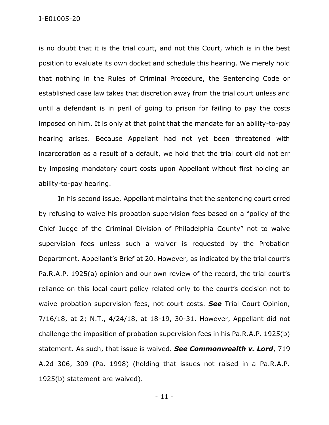is no doubt that it is the trial court, and not this Court, which is in the best position to evaluate its own docket and schedule this hearing. We merely hold that nothing in the Rules of Criminal Procedure, the Sentencing Code or established case law takes that discretion away from the trial court unless and until a defendant is in peril of going to prison for failing to pay the costs imposed on him. It is only at that point that the mandate for an ability-to-pay hearing arises. Because Appellant had not yet been threatened with incarceration as a result of a default, we hold that the trial court did not err by imposing mandatory court costs upon Appellant without first holding an ability-to-pay hearing.

In his second issue, Appellant maintains that the sentencing court erred by refusing to waive his probation supervision fees based on a "policy of the Chief Judge of the Criminal Division of Philadelphia County" not to waive supervision fees unless such a waiver is requested by the Probation Department. Appellant's Brief at 20. However, as indicated by the trial court's Pa.R.A.P. 1925(a) opinion and our own review of the record, the trial court's reliance on this local court policy related only to the court's decision not to waive probation supervision fees, not court costs. *See* Trial Court Opinion, 7/16/18, at 2; N.T., 4/24/18, at 18-19, 30-31. However, Appellant did not challenge the imposition of probation supervision fees in his Pa.R.A.P. 1925(b) statement. As such, that issue is waived. *See Commonwealth v. Lord*, 719 A.2d 306, 309 (Pa. 1998) (holding that issues not raised in a Pa.R.A.P. 1925(b) statement are waived).

- 11 -